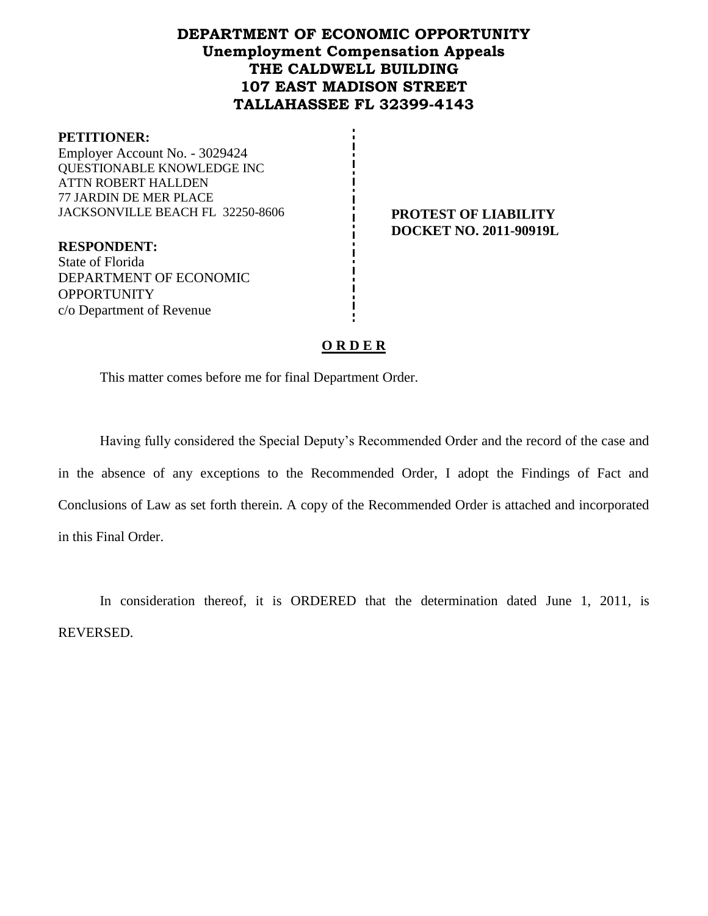# **DEPARTMENT OF ECONOMIC OPPORTUNITY Unemployment Compensation Appeals THE CALDWELL BUILDING 107 EAST MADISON STREET TALLAHASSEE FL 32399-4143**

#### **PETITIONER:**

Employer Account No. - 3029424 QUESTIONABLE KNOWLEDGE INC ATTN ROBERT HALLDEN 77 JARDIN DE MER PLACE JACKSONVILLE BEACH FL 32250-8606 **PROTEST OF LIABILITY**

**DOCKET NO. 2011-90919L**

**RESPONDENT:** State of Florida DEPARTMENT OF ECONOMIC **OPPORTUNITY** c/o Department of Revenue

## **O R D E R**

This matter comes before me for final Department Order.

Having fully considered the Special Deputy's Recommended Order and the record of the case and in the absence of any exceptions to the Recommended Order, I adopt the Findings of Fact and Conclusions of Law as set forth therein. A copy of the Recommended Order is attached and incorporated in this Final Order.

In consideration thereof, it is ORDERED that the determination dated June 1, 2011, is REVERSED.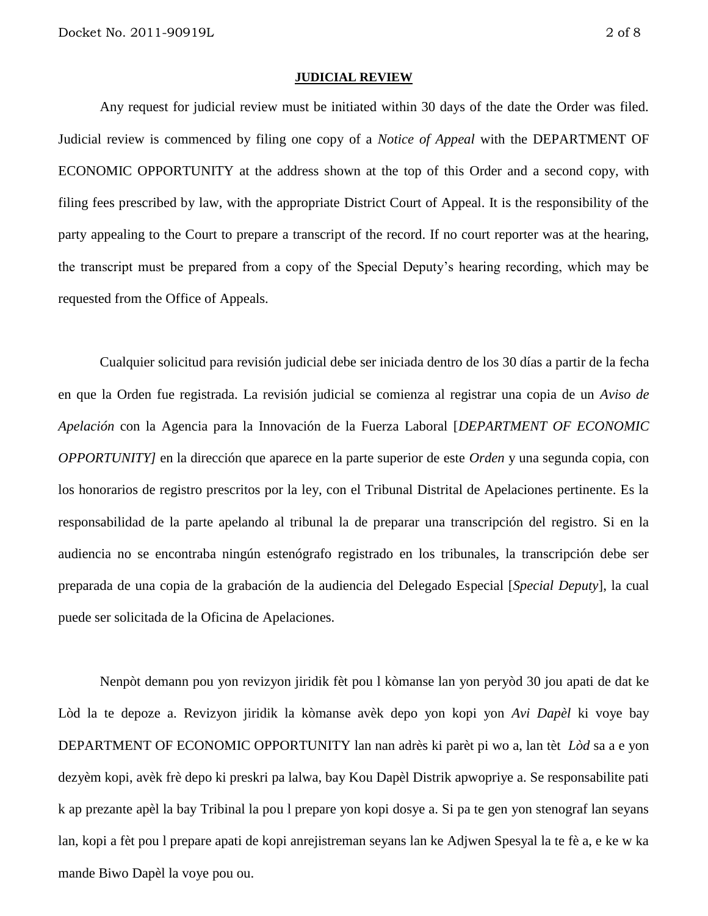#### **JUDICIAL REVIEW**

Any request for judicial review must be initiated within 30 days of the date the Order was filed. Judicial review is commenced by filing one copy of a *Notice of Appeal* with the DEPARTMENT OF ECONOMIC OPPORTUNITY at the address shown at the top of this Order and a second copy, with filing fees prescribed by law, with the appropriate District Court of Appeal. It is the responsibility of the party appealing to the Court to prepare a transcript of the record. If no court reporter was at the hearing, the transcript must be prepared from a copy of the Special Deputy's hearing recording, which may be requested from the Office of Appeals.

Cualquier solicitud para revisión judicial debe ser iniciada dentro de los 30 días a partir de la fecha en que la Orden fue registrada. La revisión judicial se comienza al registrar una copia de un *Aviso de Apelación* con la Agencia para la Innovación de la Fuerza Laboral [*DEPARTMENT OF ECONOMIC OPPORTUNITY]* en la dirección que aparece en la parte superior de este *Orden* y una segunda copia, con los honorarios de registro prescritos por la ley, con el Tribunal Distrital de Apelaciones pertinente. Es la responsabilidad de la parte apelando al tribunal la de preparar una transcripción del registro. Si en la audiencia no se encontraba ningún estenógrafo registrado en los tribunales, la transcripción debe ser preparada de una copia de la grabación de la audiencia del Delegado Especial [*Special Deputy*], la cual puede ser solicitada de la Oficina de Apelaciones.

Nenpòt demann pou yon revizyon jiridik fèt pou l kòmanse lan yon peryòd 30 jou apati de dat ke Lòd la te depoze a. Revizyon jiridik la kòmanse avèk depo yon kopi yon *Avi Dapèl* ki voye bay DEPARTMENT OF ECONOMIC OPPORTUNITY lan nan adrès ki parèt pi wo a, lan tèt *Lòd* sa a e yon dezyèm kopi, avèk frè depo ki preskri pa lalwa, bay Kou Dapèl Distrik apwopriye a. Se responsabilite pati k ap prezante apèl la bay Tribinal la pou l prepare yon kopi dosye a. Si pa te gen yon stenograf lan seyans lan, kopi a fèt pou l prepare apati de kopi anrejistreman seyans lan ke Adjwen Spesyal la te fè a, e ke w ka mande Biwo Dapèl la voye pou ou.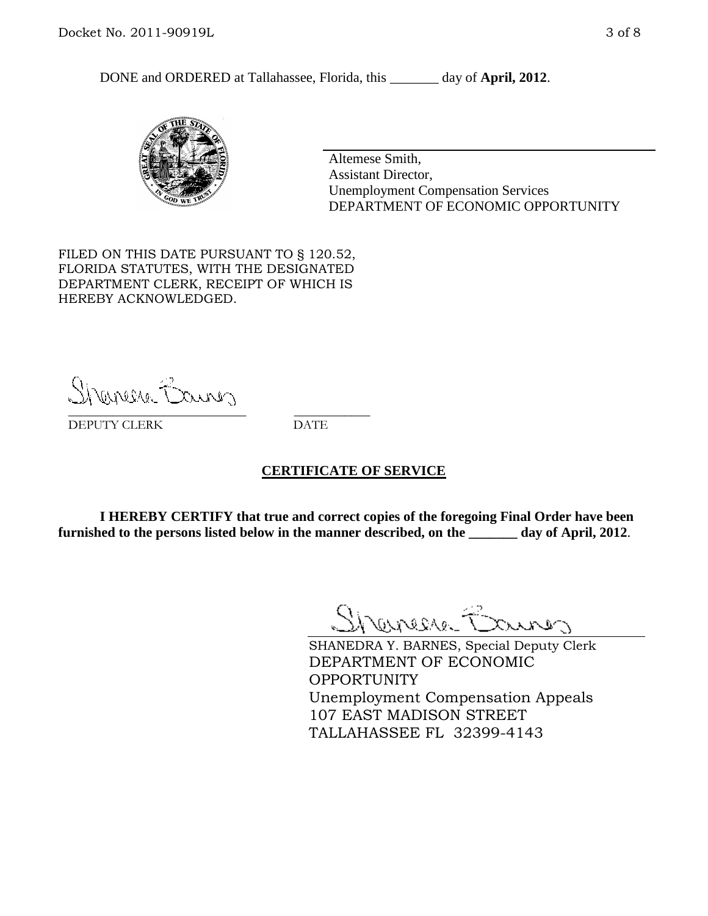DONE and ORDERED at Tallahassee, Florida, this day of **April, 2012**.



Altemese Smith, Assistant Director, Unemployment Compensation Services DEPARTMENT OF ECONOMIC OPPORTUNITY

FILED ON THIS DATE PURSUANT TO § 120.52, FLORIDA STATUTES, WITH THE DESIGNATED DEPARTMENT CLERK, RECEIPT OF WHICH IS HEREBY ACKNOWLEDGED.

Shenere Causes \_\_\_\_\_\_\_\_\_\_\_\_\_\_\_\_\_\_\_\_\_\_\_\_\_\_\_\_ \_\_\_\_\_\_\_\_\_\_\_\_

DEPUTY CLERK DATE

## **CERTIFICATE OF SERVICE**

**I HEREBY CERTIFY that true and correct copies of the foregoing Final Order have been furnished to the persons listed below in the manner described, on the \_\_\_\_\_\_\_ day of April, 2012**.

Shaner Barnes

SHANEDRA Y. BARNES, Special Deputy Clerk DEPARTMENT OF ECONOMIC OPPORTUNITY Unemployment Compensation Appeals 107 EAST MADISON STREET TALLAHASSEE FL 32399-4143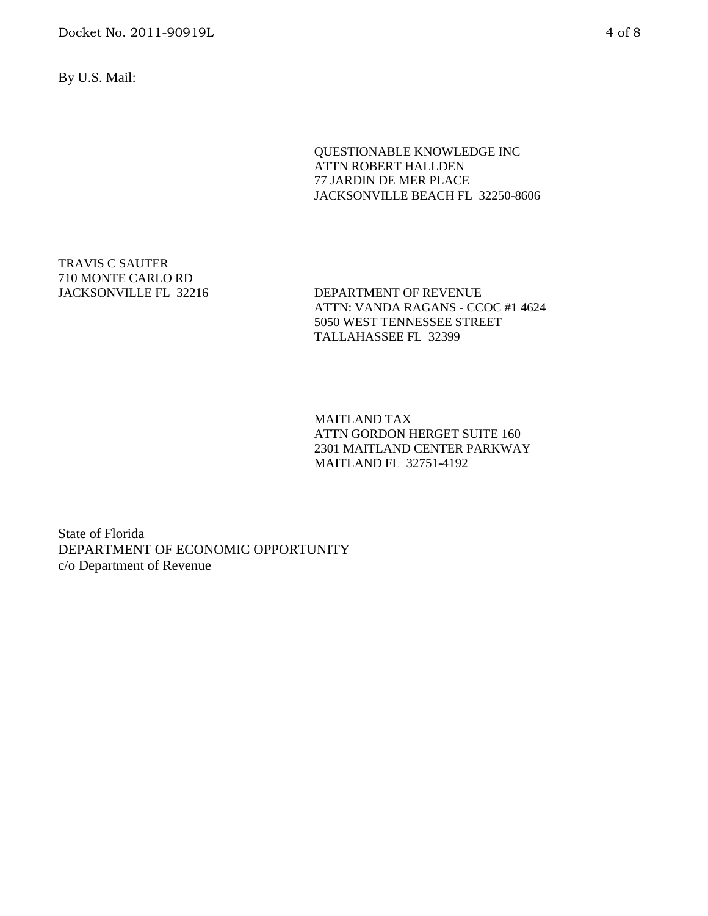Docket No. 2011-90919L 4 of 8

By U.S. Mail:

### QUESTIONABLE KNOWLEDGE INC ATTN ROBERT HALLDEN 77 JARDIN DE MER PLACE JACKSONVILLE BEACH FL 32250-8606

TRAVIS C SAUTER 710 MONTE CARLO RD

DEPARTMENT OF REVENUE ATTN: VANDA RAGANS - CCOC #1 4624 5050 WEST TENNESSEE STREET TALLAHASSEE FL 32399

MAITLAND TAX ATTN GORDON HERGET SUITE 160 2301 MAITLAND CENTER PARKWAY MAITLAND FL 32751-4192

State of Florida DEPARTMENT OF ECONOMIC OPPORTUNITY c/o Department of Revenue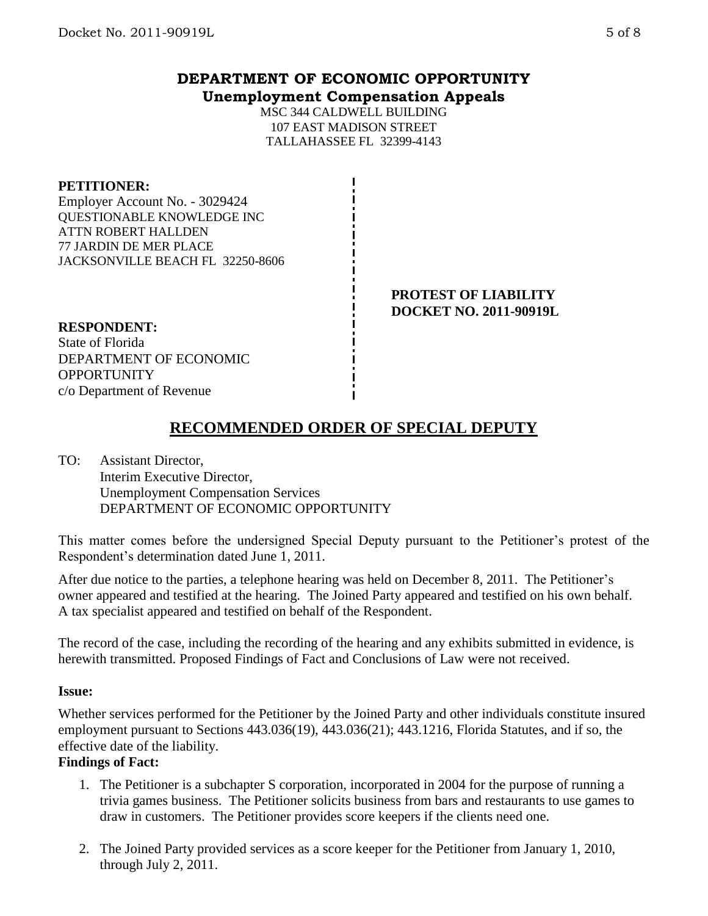# **DEPARTMENT OF ECONOMIC OPPORTUNITY Unemployment Compensation Appeals**

MSC 344 CALDWELL BUILDING 107 EAST MADISON STREET TALLAHASSEE FL 32399-4143

## **PETITIONER:**

Employer Account No. - 3029424 QUESTIONABLE KNOWLEDGE INC ATTN ROBERT HALLDEN 77 JARDIN DE MER PLACE JACKSONVILLE BEACH FL 32250-8606

> **PROTEST OF LIABILITY DOCKET NO. 2011-90919L**

#### **RESPONDENT:** State of Florida

DEPARTMENT OF ECONOMIC **OPPORTUNITY** c/o Department of Revenue

# **RECOMMENDED ORDER OF SPECIAL DEPUTY**

TO: Assistant Director, Interim Executive Director, Unemployment Compensation Services DEPARTMENT OF ECONOMIC OPPORTUNITY

This matter comes before the undersigned Special Deputy pursuant to the Petitioner's protest of the Respondent's determination dated June 1, 2011.

After due notice to the parties, a telephone hearing was held on December 8, 2011. The Petitioner's owner appeared and testified at the hearing. The Joined Party appeared and testified on his own behalf. A tax specialist appeared and testified on behalf of the Respondent.

The record of the case, including the recording of the hearing and any exhibits submitted in evidence, is herewith transmitted. Proposed Findings of Fact and Conclusions of Law were not received.

# **Issue:**

Whether services performed for the Petitioner by the Joined Party and other individuals constitute insured employment pursuant to Sections 443.036(19), 443.036(21); 443.1216, Florida Statutes, and if so, the effective date of the liability.

# **Findings of Fact:**

- 1. The Petitioner is a subchapter S corporation, incorporated in 2004 for the purpose of running a trivia games business. The Petitioner solicits business from bars and restaurants to use games to draw in customers. The Petitioner provides score keepers if the clients need one.
- 2. The Joined Party provided services as a score keeper for the Petitioner from January 1, 2010, through July 2, 2011.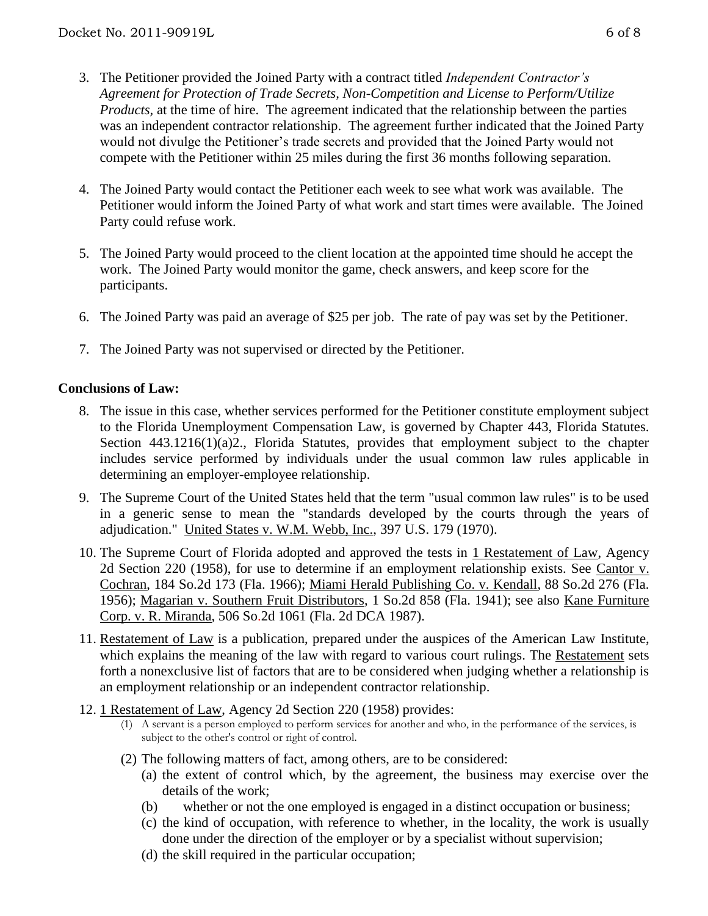- 3. The Petitioner provided the Joined Party with a contract titled *Independent Contractor's Agreement for Protection of Trade Secrets, Non-Competition and License to Perform/Utilize Products,* at the time of hire. The agreement indicated that the relationship between the parties was an independent contractor relationship. The agreement further indicated that the Joined Party would not divulge the Petitioner's trade secrets and provided that the Joined Party would not compete with the Petitioner within 25 miles during the first 36 months following separation.
- 4. The Joined Party would contact the Petitioner each week to see what work was available. The Petitioner would inform the Joined Party of what work and start times were available. The Joined Party could refuse work.
- 5. The Joined Party would proceed to the client location at the appointed time should he accept the work. The Joined Party would monitor the game, check answers, and keep score for the participants.
- 6. The Joined Party was paid an average of \$25 per job. The rate of pay was set by the Petitioner.
- 7. The Joined Party was not supervised or directed by the Petitioner.

# **Conclusions of Law:**

- 8. The issue in this case, whether services performed for the Petitioner constitute employment subject to the Florida Unemployment Compensation Law, is governed by Chapter 443, Florida Statutes. Section 443.1216(1)(a)2., Florida Statutes, provides that employment subject to the chapter includes service performed by individuals under the usual common law rules applicable in determining an employer-employee relationship.
- 9. The Supreme Court of the United States held that the term "usual common law rules" is to be used in a generic sense to mean the "standards developed by the courts through the years of adjudication." United States v. W.M. Webb, Inc., 397 U.S. 179 (1970).
- 10. The Supreme Court of Florida adopted and approved the tests in 1 Restatement of Law, Agency 2d Section 220 (1958), for use to determine if an employment relationship exists. See Cantor v. Cochran, 184 So.2d 173 (Fla. 1966); Miami Herald Publishing Co. v. Kendall, 88 So.2d 276 (Fla. 1956); Magarian v. Southern Fruit Distributors, 1 So.2d 858 (Fla. 1941); see also Kane Furniture Corp. v. R. Miranda, 506 So.2d 1061 (Fla. 2d DCA 1987).
- 11. Restatement of Law is a publication, prepared under the auspices of the American Law Institute, which explains the meaning of the law with regard to various court rulings. The Restatement sets forth a nonexclusive list of factors that are to be considered when judging whether a relationship is an employment relationship or an independent contractor relationship.
- 12. 1 Restatement of Law, Agency 2d Section 220 (1958) provides:
	- (1) A servant is a person employed to perform services for another and who, in the performance of the services, is subject to the other's control or right of control.
	- (2) The following matters of fact, among others, are to be considered:
		- (a) the extent of control which, by the agreement, the business may exercise over the details of the work;
		- (b) whether or not the one employed is engaged in a distinct occupation or business;
		- (c) the kind of occupation, with reference to whether, in the locality, the work is usually done under the direction of the employer or by a specialist without supervision;
		- (d) the skill required in the particular occupation;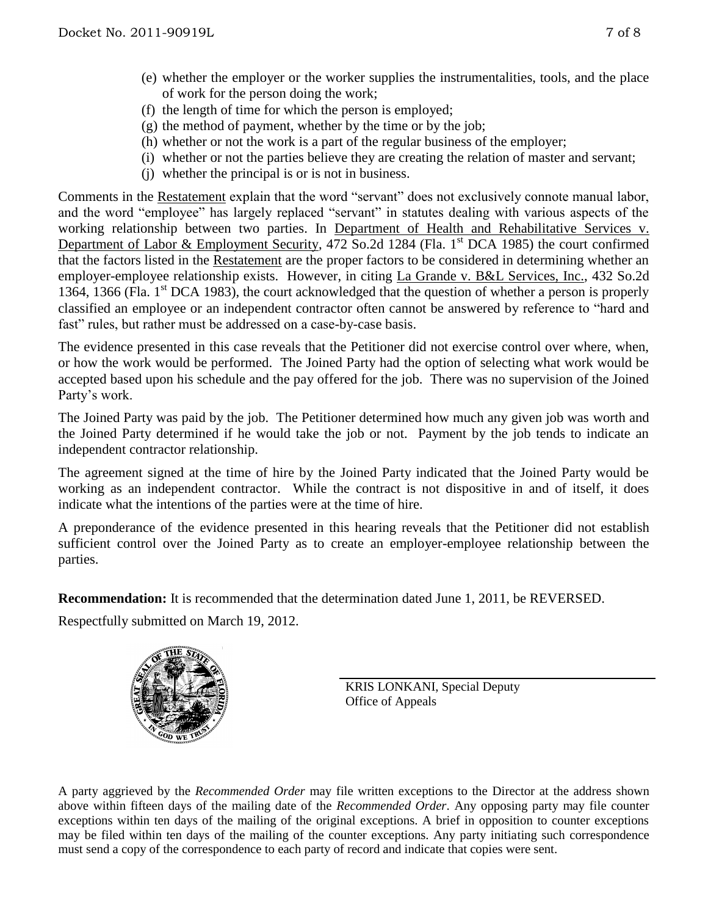- (e) whether the employer or the worker supplies the instrumentalities, tools, and the place of work for the person doing the work;
- (f) the length of time for which the person is employed;
- (g) the method of payment, whether by the time or by the job;
- (h) whether or not the work is a part of the regular business of the employer;
- (i) whether or not the parties believe they are creating the relation of master and servant;
- (j) whether the principal is or is not in business.

Comments in the Restatement explain that the word "servant" does not exclusively connote manual labor, and the word "employee" has largely replaced "servant" in statutes dealing with various aspects of the working relationship between two parties. In Department of Health and Rehabilitative Services v. Department of Labor & Employment Security, 472 So.2d 1284 (Fla. 1<sup>st</sup> DCA 1985) the court confirmed that the factors listed in the Restatement are the proper factors to be considered in determining whether an employer-employee relationship exists. However, in citing La Grande v. B&L Services, Inc., 432 So.2d 1364, 1366 (Fla.  $1<sup>st</sup>$  DCA 1983), the court acknowledged that the question of whether a person is properly classified an employee or an independent contractor often cannot be answered by reference to "hard and fast" rules, but rather must be addressed on a case-by-case basis.

The evidence presented in this case reveals that the Petitioner did not exercise control over where, when, or how the work would be performed. The Joined Party had the option of selecting what work would be accepted based upon his schedule and the pay offered for the job. There was no supervision of the Joined Party's work.

The Joined Party was paid by the job. The Petitioner determined how much any given job was worth and the Joined Party determined if he would take the job or not. Payment by the job tends to indicate an independent contractor relationship.

The agreement signed at the time of hire by the Joined Party indicated that the Joined Party would be working as an independent contractor. While the contract is not dispositive in and of itself, it does indicate what the intentions of the parties were at the time of hire.

A preponderance of the evidence presented in this hearing reveals that the Petitioner did not establish sufficient control over the Joined Party as to create an employer-employee relationship between the parties.

**Recommendation:** It is recommended that the determination dated June 1, 2011, be REVERSED.

Respectfully submitted on March 19, 2012.



KRIS LONKANI, Special Deputy Office of Appeals

A party aggrieved by the *Recommended Order* may file written exceptions to the Director at the address shown above within fifteen days of the mailing date of the *Recommended Order*. Any opposing party may file counter exceptions within ten days of the mailing of the original exceptions. A brief in opposition to counter exceptions may be filed within ten days of the mailing of the counter exceptions. Any party initiating such correspondence must send a copy of the correspondence to each party of record and indicate that copies were sent.